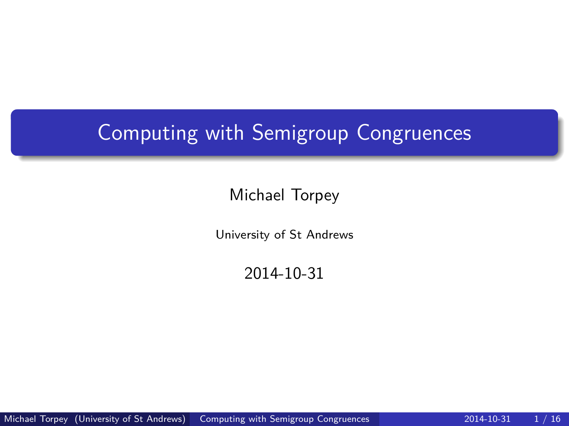# <span id="page-0-0"></span>Computing with Semigroup Congruences

#### Michael Torpey

University of St Andrews

2014-10-31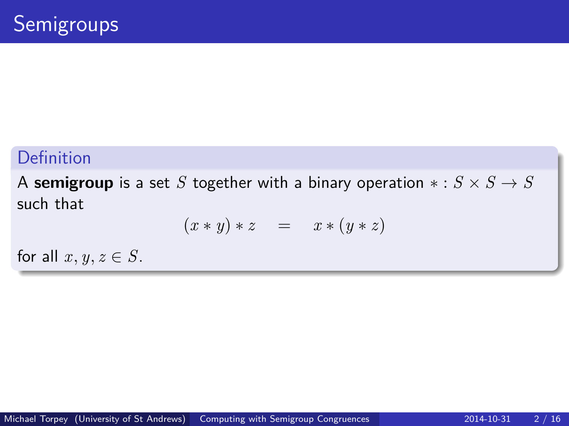A **semigroup** is a set *S* together with a binary operation  $* : S \times S \rightarrow S$ such that

$$
(x * y) * z = x * (y * z)
$$

for all  $x, y, z \in S$ .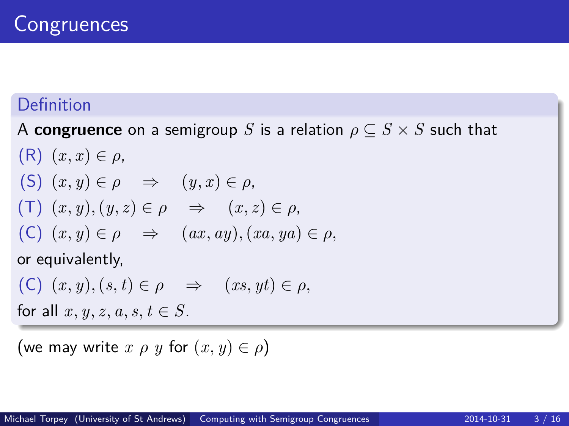A **congruence** on a semigroup *S* is a relation  $\rho \subseteq S \times S$  such that

- $(R)$   $(x, x) \in \rho$ , (S)  $(x, y) \in \rho \Rightarrow (y, x) \in \rho$ ,  $(T)$   $(x, y)$ ,  $(y, z) \in \rho \Rightarrow (x, z) \in \rho$ ,  $(C)$   $(x, y) \in \rho \Rightarrow (ax, ay), (xa, ya) \in \rho$ , or equivalently,
- $(C)$   $(x, y), (s, t) \in \rho \Rightarrow (xs, yt) \in \rho$ ,

for all  $x, y, z, a, s, t \in S$ .

(we may write  $x \rho y$  for  $(x, y) \in \rho$ )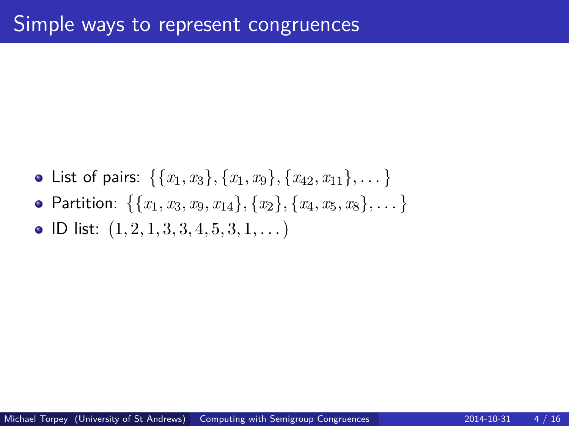$\textsf{List of pairs: } \{ \{x_1, x_3\}, \{x_1, x_9\}, \{x_{42}, x_{11}\}, \dots \}$  ${\sf Partition:} \ \ \{\{x_1, x_3, x_9, x_{14}\}, \{x_2\}, \{x_4, x_5, x_8\}, \dots\}$ ID list: 1*,* 2*,* 1*,* 3*,* 3*,* 4*,* 5*,* 3*,* 1*, . . .*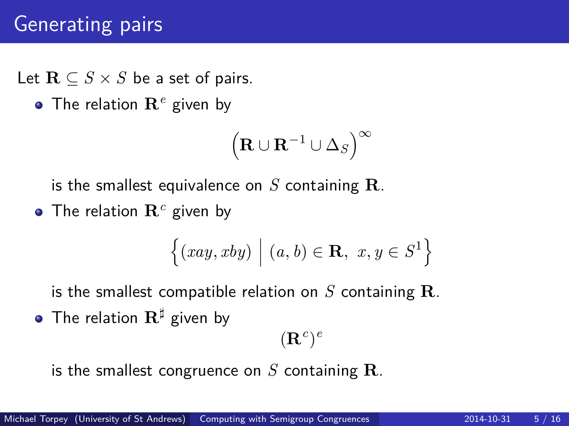# Generating pairs

Let  $\mathbf{R} \subseteq S \times S$  be a set of pairs.

The relation **R***<sup>e</sup>* given by

$$
\left(\mathbf{R} \cup \mathbf{R}^{-1} \cup \Delta_S\right)^{\infty}
$$

is the smallest equivalence on *S* containing **R**.

The relation **R***<sup>c</sup>* given by

$$
\{(xay, xby) \mid (a, b) \in \mathbf{R}, x, y \in S^1\}
$$

is the smallest compatible relation on *S* containing **R**.

• The relation  $\mathbf{R}^{\sharp}$  given by

 $({\bf R}^c)^e$ 

is the smallest congruence on *S* containing **R**.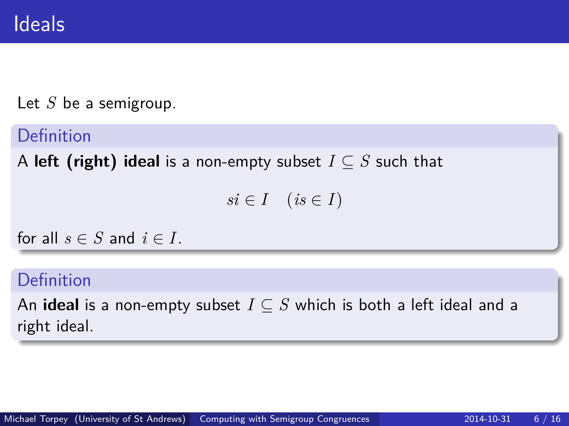Let *S* be a semigroup.

Definition

A **left (right) ideal** is a non-empty subset *I* ⊆ *S* such that

 $si \in I \quad (is \in I)$ 

for all  $s \in S$  and  $i \in I$ .

Definition

An **ideal** is a non-empty subset  $I \subseteq S$  which is both a left ideal and a right ideal.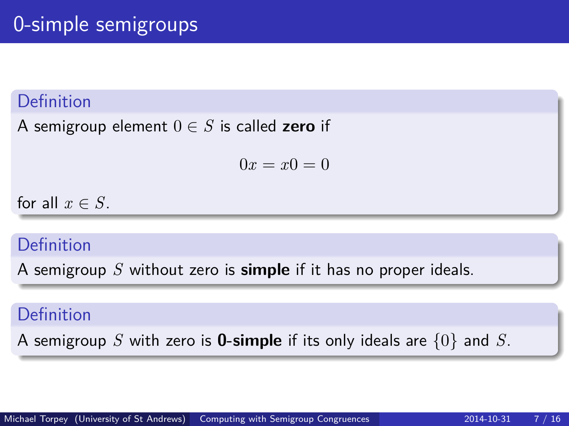A semigroup element  $0 \in S$  is called **zero** if

 $0x = x0 = 0$ 

for all  $x \in S$ .

## Definition

A semigroup *S* without zero is **simple** if it has no proper ideals.

#### Definition

A semigroup *S* with zero is **0-simple** if its only ideals are {0} and *S*.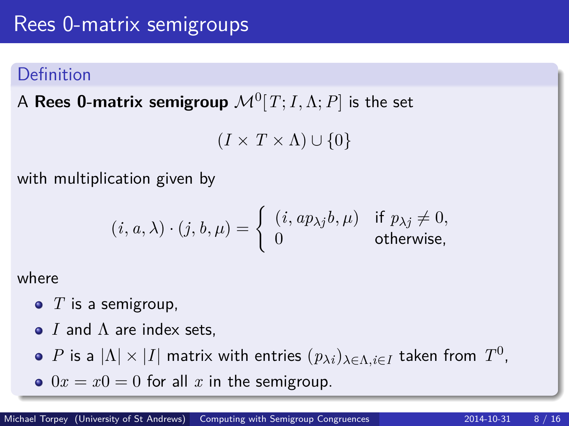$\mathsf A$   $\mathsf {Rees}\; \mathbf 0$ -matrix  $\mathsf {semigroup}\; \mathcal M^0[T;I,\Lambda;P]$  is the set

 $(I \times T \times \Lambda) \cup \{0\}$ 

with multiplication given by

$$
(i, a, \lambda) \cdot (j, b, \mu) = \begin{cases} (i, ap_{\lambda j}b, \mu) & \text{if } p_{\lambda j} \neq 0, \\ 0 & \text{otherwise,} \end{cases}
$$

where

- T is a semigroup,
- *I* and Λ are index sets,
- $P$  is a  $|\Lambda| \times |I|$  matrix with entries  $(p_{\lambda i})_{\lambda \in \Lambda, i \in I}$  taken from  $T^0$ ,
- $0x = x0 = 0$  for all x in the semigroup.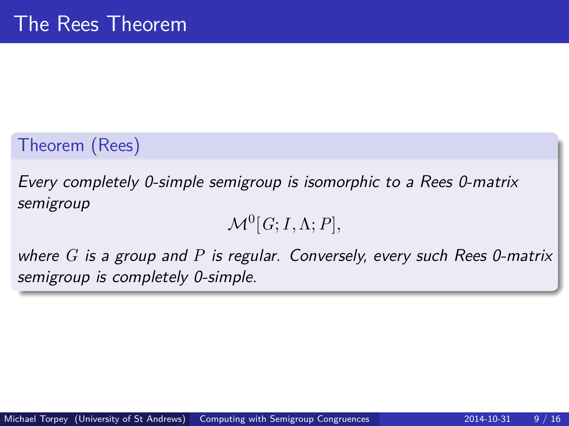# Theorem (Rees)

Every completely 0-simple semigroup is isomorphic to a Rees 0-matrix semigroup

$$
\mathcal{M}^0[G; I, \Lambda; P],
$$

where *G* is a group and *P* is regular. Conversely, every such Rees 0-matrix semigroup is completely 0-simple.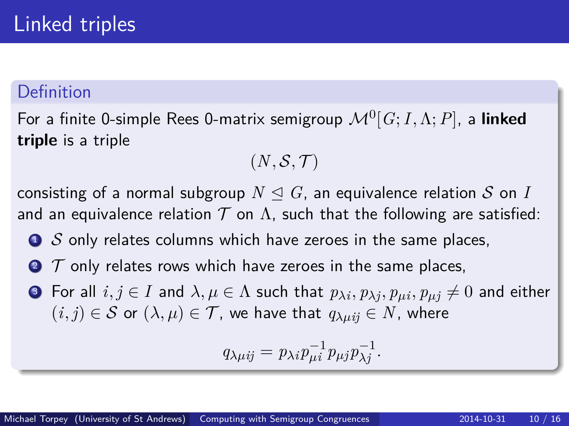For a finite 0-simple Rees 0-matrix semigroup M<sup>0</sup> [*G*;*I,*Λ;*P*], a **linked triple** is a triple

$$
(N,\mathcal{S},\mathcal{T})
$$

consisting of a normal subgroup  $N \triangleleft G$ , an equivalence relation S on I and an equivalence relation  $T$  on  $\Lambda$ , such that the following are satisfied:

- $\bullet$  S only relates columns which have zeroes in the same places,
- $\bullet$   $\tau$  only relates rows which have zeroes in the same places,
- ${\bf 3}$  For all  $i,j\in I$  and  $\lambda,\mu\in\Lambda$  such that  $p_{\lambda i},p_{\lambda j},p_{\mu i},p_{\mu j}\neq 0$  and either  $(i, j) \in S$  or  $(\lambda, \mu) \in T$ , we have that  $q_{\lambda \mu i j} \in N$ , where

$$
q_{\lambda\mu ij} = p_{\lambda i} p_{\mu i}^{-1} p_{\mu j} p_{\lambda j}^{-1}.
$$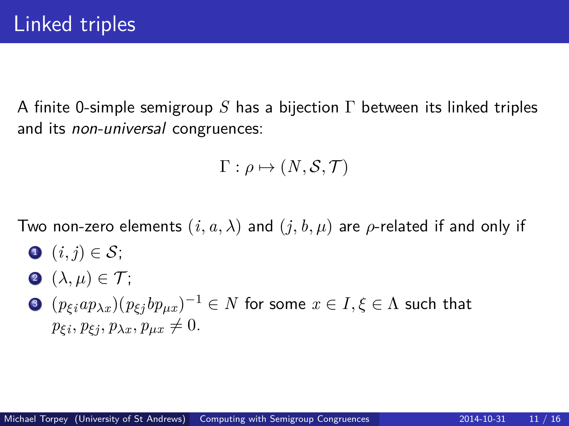A finite 0-simple semigroup *S* has a bijection Γ between its linked triples and its non-universal congruences:

$$
\Gamma: \rho \mapsto (N, \mathcal{S}, \mathcal{T})
$$

Two non-zero elements  $(i, a, \lambda)$  and  $(j, b, \mu)$  are  $\rho$ -related if and only if

- $\bigcirc$   $(i, j) \in \mathcal{S}$ ;
- **2**  $(\lambda, \mu) \in \mathcal{T}$ ;
- $\textbf{3}$   $(p_{\xi i}ap_{\lambda x})(p_{\xi j}bp_{\mu x})^{-1}\in N$  for some  $x\in I, \xi\in \Lambda$  such that  $p_{\xi i}, p_{\xi j}, p_{\lambda x}, p_{\mu x} \neq 0.$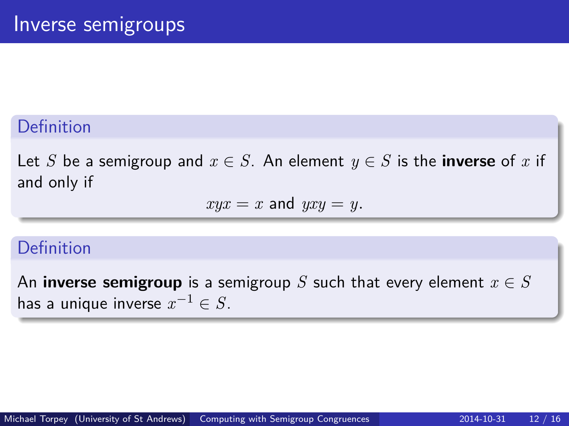Let *S* be a semigroup and  $x \in S$ . An element  $y \in S$  is the **inverse** of *x* if and only if

$$
xyx = x \text{ and } yxy = y.
$$

#### Definition

An **inverse semigroup** is a semigroup *S* such that every element  $x \in S$ has a unique inverse  $x^{-1} \in S.$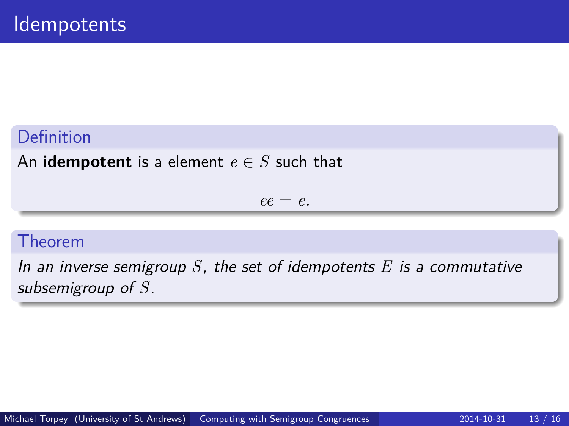An **idempotent** is a element  $e \in S$  such that

 $ee = e$ .

#### Theorem

In an inverse semigroup *S*, the set of idempotents *E* is a commutative subsemigroup of *S*.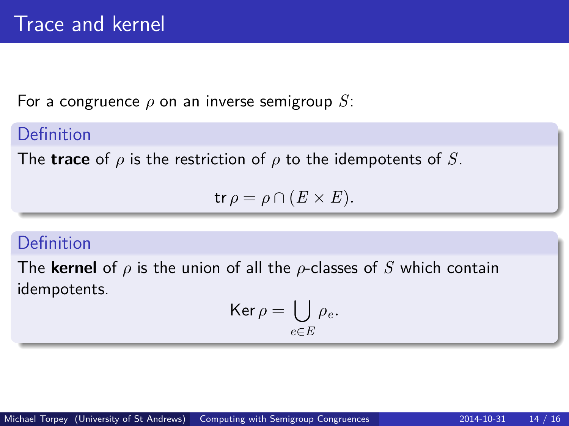For a congruence *ρ* on an inverse semigroup *S*:

# Definition

The **trace** of *ρ* is the restriction of *ρ* to the idempotents of *S*.

 $tr \rho = \rho \cap (E \times E).$ 

## Definition

The **kernel** of *ρ* is the union of all the *ρ*-classes of *S* which contain idempotents.

$$
\operatorname{Ker} \rho = \bigcup_{e \in E} \rho_e.
$$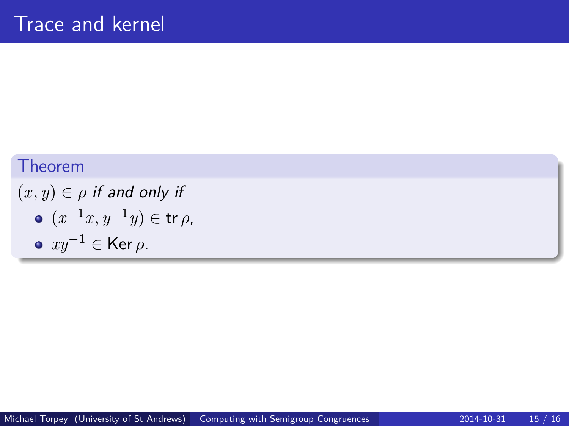### Theorem

 $(x, y) \in \rho$  if and only if  $(x^{-1}x, y^{-1}y) \in \text{tr } \rho$ , *xy*−<sup>1</sup> ∈ Ker *ρ*.